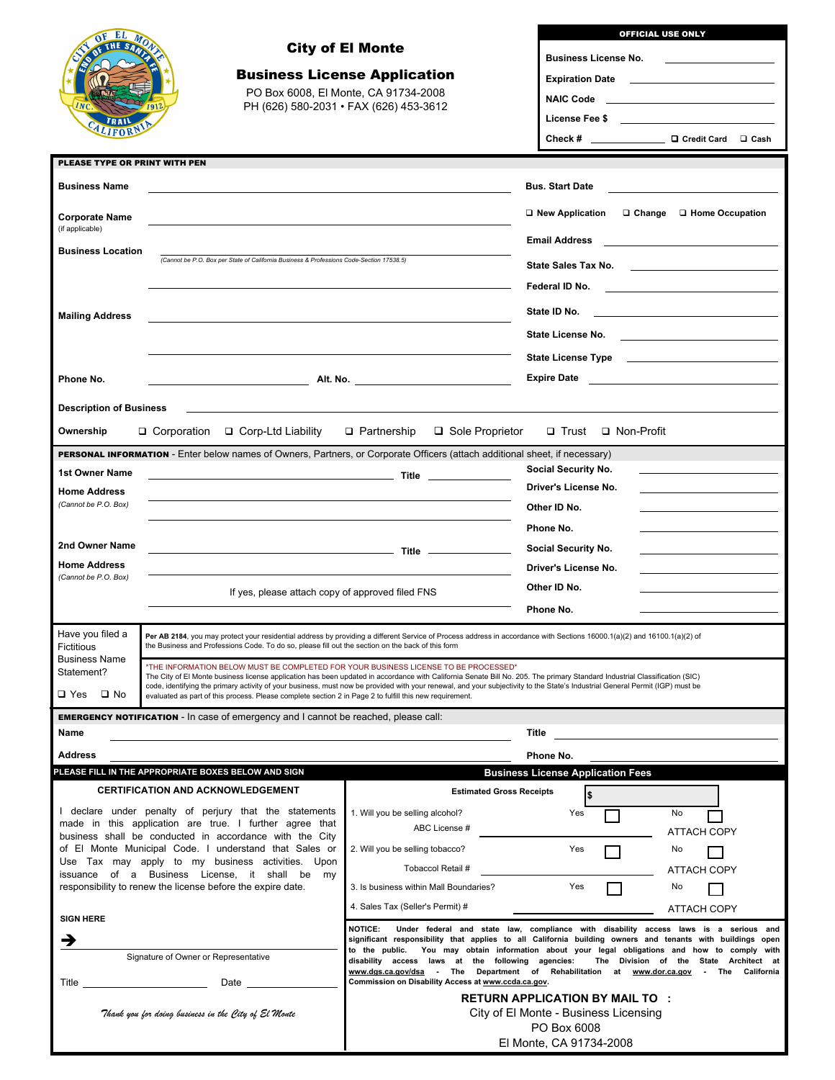| EL<br>$\sigma$ <sub>E</sub>                                                                                                                                                  |                                                                                                                                                                                                                                                                                          |                                                                                                                                                                                             | <b>OFFICIAL USE ONLY</b>                                                                                                                                                                                                                                    |  |  |  |  |  |
|------------------------------------------------------------------------------------------------------------------------------------------------------------------------------|------------------------------------------------------------------------------------------------------------------------------------------------------------------------------------------------------------------------------------------------------------------------------------------|---------------------------------------------------------------------------------------------------------------------------------------------------------------------------------------------|-------------------------------------------------------------------------------------------------------------------------------------------------------------------------------------------------------------------------------------------------------------|--|--|--|--|--|
| THE SA                                                                                                                                                                       |                                                                                                                                                                                                                                                                                          | <b>City of El Monte</b>                                                                                                                                                                     | <b>Business License No.</b>                                                                                                                                                                                                                                 |  |  |  |  |  |
|                                                                                                                                                                              |                                                                                                                                                                                                                                                                                          | <b>Business License Application</b>                                                                                                                                                         |                                                                                                                                                                                                                                                             |  |  |  |  |  |
|                                                                                                                                                                              |                                                                                                                                                                                                                                                                                          | PO Box 6008, El Monte, CA 91734-2008                                                                                                                                                        |                                                                                                                                                                                                                                                             |  |  |  |  |  |
|                                                                                                                                                                              |                                                                                                                                                                                                                                                                                          | PH (626) 580-2031 · FAX (626) 453-3612                                                                                                                                                      | NAIC Code <u>_________________</u>                                                                                                                                                                                                                          |  |  |  |  |  |
|                                                                                                                                                                              |                                                                                                                                                                                                                                                                                          |                                                                                                                                                                                             | License Fee \$ _____________________________                                                                                                                                                                                                                |  |  |  |  |  |
|                                                                                                                                                                              |                                                                                                                                                                                                                                                                                          |                                                                                                                                                                                             | Check # □ □ Credit Card □ Cash                                                                                                                                                                                                                              |  |  |  |  |  |
| PLEASE TYPE OR PRINT WITH PEN                                                                                                                                                |                                                                                                                                                                                                                                                                                          |                                                                                                                                                                                             |                                                                                                                                                                                                                                                             |  |  |  |  |  |
| <b>Business Name</b>                                                                                                                                                         |                                                                                                                                                                                                                                                                                          |                                                                                                                                                                                             | <b>Bus. Start Date</b>                                                                                                                                                                                                                                      |  |  |  |  |  |
|                                                                                                                                                                              | (Cannot be P.O. Box per State of California Business & Professions Code-Section 17538.5)                                                                                                                                                                                                 |                                                                                                                                                                                             | □ New Application<br>$\Box$ Change $\Box$ Home Occupation                                                                                                                                                                                                   |  |  |  |  |  |
| <b>Corporate Name</b><br>(if applicable)                                                                                                                                     |                                                                                                                                                                                                                                                                                          |                                                                                                                                                                                             |                                                                                                                                                                                                                                                             |  |  |  |  |  |
| <b>Business Location</b>                                                                                                                                                     |                                                                                                                                                                                                                                                                                          |                                                                                                                                                                                             | <b>Email Address</b>                                                                                                                                                                                                                                        |  |  |  |  |  |
|                                                                                                                                                                              |                                                                                                                                                                                                                                                                                          |                                                                                                                                                                                             | State Sales Tax No.<br><u>state and the state of the state and the state of the state of the state of the state of the state of the state of the state of the state of the state of the state of the state of the state of the state of the state of th</u> |  |  |  |  |  |
|                                                                                                                                                                              |                                                                                                                                                                                                                                                                                          |                                                                                                                                                                                             | Federal ID No.                                                                                                                                                                                                                                              |  |  |  |  |  |
| <b>Mailing Address</b>                                                                                                                                                       |                                                                                                                                                                                                                                                                                          |                                                                                                                                                                                             | State ID No.                                                                                                                                                                                                                                                |  |  |  |  |  |
|                                                                                                                                                                              |                                                                                                                                                                                                                                                                                          |                                                                                                                                                                                             |                                                                                                                                                                                                                                                             |  |  |  |  |  |
|                                                                                                                                                                              |                                                                                                                                                                                                                                                                                          |                                                                                                                                                                                             |                                                                                                                                                                                                                                                             |  |  |  |  |  |
|                                                                                                                                                                              |                                                                                                                                                                                                                                                                                          | <b>Expire Date</b>                                                                                                                                                                          |                                                                                                                                                                                                                                                             |  |  |  |  |  |
| Phone No.                                                                                                                                                                    |                                                                                                                                                                                                                                                                                          |                                                                                                                                                                                             |                                                                                                                                                                                                                                                             |  |  |  |  |  |
| <b>Description of Business</b>                                                                                                                                               |                                                                                                                                                                                                                                                                                          |                                                                                                                                                                                             |                                                                                                                                                                                                                                                             |  |  |  |  |  |
| Ownership                                                                                                                                                                    | □ Corporation<br>$\Box$ Corp-Ltd Liability                                                                                                                                                                                                                                               | □ Sole Proprietor<br>$\Box$ Partnership                                                                                                                                                     | □ Non-Profit<br>□ Trust                                                                                                                                                                                                                                     |  |  |  |  |  |
|                                                                                                                                                                              | PERSONAL INFORMATION - Enter below names of Owners, Partners, or Corporate Officers (attach additional sheet, if necessary)                                                                                                                                                              |                                                                                                                                                                                             |                                                                                                                                                                                                                                                             |  |  |  |  |  |
| 1st Owner Name                                                                                                                                                               |                                                                                                                                                                                                                                                                                          | <b>Social Security No.</b>                                                                                                                                                                  |                                                                                                                                                                                                                                                             |  |  |  |  |  |
| <b>Home Address</b>                                                                                                                                                          |                                                                                                                                                                                                                                                                                          |                                                                                                                                                                                             | Driver's License No.                                                                                                                                                                                                                                        |  |  |  |  |  |
| (Cannot be P.O. Box)                                                                                                                                                         |                                                                                                                                                                                                                                                                                          |                                                                                                                                                                                             | Other ID No.                                                                                                                                                                                                                                                |  |  |  |  |  |
|                                                                                                                                                                              |                                                                                                                                                                                                                                                                                          |                                                                                                                                                                                             | Phone No.                                                                                                                                                                                                                                                   |  |  |  |  |  |
| 2nd Owner Name                                                                                                                                                               |                                                                                                                                                                                                                                                                                          |                                                                                                                                                                                             | Social Security No.                                                                                                                                                                                                                                         |  |  |  |  |  |
| <b>Home Address</b><br>(Cannot be P.O. Box)                                                                                                                                  |                                                                                                                                                                                                                                                                                          |                                                                                                                                                                                             | Driver's License No.                                                                                                                                                                                                                                        |  |  |  |  |  |
|                                                                                                                                                                              | If yes, please attach copy of approved filed FNS                                                                                                                                                                                                                                         |                                                                                                                                                                                             | Other ID No.                                                                                                                                                                                                                                                |  |  |  |  |  |
|                                                                                                                                                                              |                                                                                                                                                                                                                                                                                          | Phone No.                                                                                                                                                                                   |                                                                                                                                                                                                                                                             |  |  |  |  |  |
| Have you filed a                                                                                                                                                             |                                                                                                                                                                                                                                                                                          |                                                                                                                                                                                             |                                                                                                                                                                                                                                                             |  |  |  |  |  |
| Fictitious                                                                                                                                                                   | Per AB 2184. you may protect your residential address by providing a different Service of Process address in accordance with Sections 16000.1(a)(2) and 16100.1(a)(2) of<br>the Business and Professions Code. To do so, please fill out the section on the back of this form            |                                                                                                                                                                                             |                                                                                                                                                                                                                                                             |  |  |  |  |  |
| <b>Business Name</b><br>Statement?                                                                                                                                           | *THE INFORMATION BELOW MUST BE COMPLETED FOR YOUR BUSINESS LICENSE TO BE PROCESSED*<br>The City of El Monte business license application has been updated in accordance with California Senate Bill No. 205. The primary Standard Industrial Classification (SIC)                        |                                                                                                                                                                                             |                                                                                                                                                                                                                                                             |  |  |  |  |  |
| $\square$ Yes<br>$\square$ No                                                                                                                                                | code, identifying the primary activity of your business, must now be provided with your renewal, and your subjectivity to the State's Industrial General Permit (IGP) must be<br>evaluated as part of this process. Please complete section 2 in Page 2 to fulfill this new requirement. |                                                                                                                                                                                             |                                                                                                                                                                                                                                                             |  |  |  |  |  |
|                                                                                                                                                                              | <b>EMERGENCY NOTIFICATION</b> - In case of emergency and I cannot be reached, please call:                                                                                                                                                                                               |                                                                                                                                                                                             |                                                                                                                                                                                                                                                             |  |  |  |  |  |
| Name                                                                                                                                                                         |                                                                                                                                                                                                                                                                                          |                                                                                                                                                                                             | Title                                                                                                                                                                                                                                                       |  |  |  |  |  |
| <b>Address</b>                                                                                                                                                               |                                                                                                                                                                                                                                                                                          |                                                                                                                                                                                             | Phone No.                                                                                                                                                                                                                                                   |  |  |  |  |  |
|                                                                                                                                                                              | PLEASE FILL IN THE APPROPRIATE BOXES BELOW AND SIGN                                                                                                                                                                                                                                      |                                                                                                                                                                                             | <b>Business License Application Fees</b>                                                                                                                                                                                                                    |  |  |  |  |  |
|                                                                                                                                                                              | <b>CERTIFICATION AND ACKNOWLEDGEMENT</b>                                                                                                                                                                                                                                                 | <b>Estimated Gross Receipts</b>                                                                                                                                                             |                                                                                                                                                                                                                                                             |  |  |  |  |  |
|                                                                                                                                                                              | I declare under penalty of perjury that the statements                                                                                                                                                                                                                                   | 1. Will you be selling alcohol?                                                                                                                                                             | Yes<br>No                                                                                                                                                                                                                                                   |  |  |  |  |  |
| made in this application are true. I further agree that<br>business shall be conducted in accordance with the City<br>of El Monte Municipal Code. I understand that Sales or |                                                                                                                                                                                                                                                                                          | ABC License #                                                                                                                                                                               | <b>ATTACH COPY</b>                                                                                                                                                                                                                                          |  |  |  |  |  |
|                                                                                                                                                                              |                                                                                                                                                                                                                                                                                          | 2. Will you be selling tobacco?                                                                                                                                                             | Yes<br>No                                                                                                                                                                                                                                                   |  |  |  |  |  |
| Use Tax may apply to my business activities. Upon<br>issuance of a Business License, it shall be<br>my                                                                       |                                                                                                                                                                                                                                                                                          | Tobaccol Retail #                                                                                                                                                                           | <b>ATTACH COPY</b>                                                                                                                                                                                                                                          |  |  |  |  |  |
| responsibility to renew the license before the expire date.                                                                                                                  |                                                                                                                                                                                                                                                                                          | 3. Is business within Mall Boundaries?                                                                                                                                                      | Yes<br>No                                                                                                                                                                                                                                                   |  |  |  |  |  |
|                                                                                                                                                                              |                                                                                                                                                                                                                                                                                          | 4. Sales Tax (Seller's Permit) #                                                                                                                                                            | ATTACH COPY                                                                                                                                                                                                                                                 |  |  |  |  |  |
| <b>SIGN HERE</b>                                                                                                                                                             |                                                                                                                                                                                                                                                                                          | <b>NOTICE:</b>                                                                                                                                                                              | Under federal and state law, compliance with disability access laws is a serious and                                                                                                                                                                        |  |  |  |  |  |
| →                                                                                                                                                                            | Signature of Owner or Representative                                                                                                                                                                                                                                                     | significant responsibility that applies to all California building owners and tenants with buildings open<br>You may obtain information about your legal obligations and how to comply with |                                                                                                                                                                                                                                                             |  |  |  |  |  |
|                                                                                                                                                                              |                                                                                                                                                                                                                                                                                          |                                                                                                                                                                                             | disability access laws at the following agencies:<br>The Division of the State Architect at<br>www.dgs.ca.gov/dsa - The Department of Rehabilitation at<br>www.dor.ca.gov<br>The<br>California                                                              |  |  |  |  |  |
| Title                                                                                                                                                                        | the control of the control of the control of                                                                                                                                                                                                                                             | Commission on Disability Access at www.ccda.ca.gov.                                                                                                                                         |                                                                                                                                                                                                                                                             |  |  |  |  |  |
| <b>RETURN APPLICATION BY MAIL TO :</b><br>City of El Monte - Business Licensing<br>Thank you for doing business in the City of El Monte                                      |                                                                                                                                                                                                                                                                                          |                                                                                                                                                                                             |                                                                                                                                                                                                                                                             |  |  |  |  |  |
|                                                                                                                                                                              |                                                                                                                                                                                                                                                                                          | PO Box 6008                                                                                                                                                                                 |                                                                                                                                                                                                                                                             |  |  |  |  |  |
|                                                                                                                                                                              |                                                                                                                                                                                                                                                                                          | El Monte, CA 91734-2008                                                                                                                                                                     |                                                                                                                                                                                                                                                             |  |  |  |  |  |